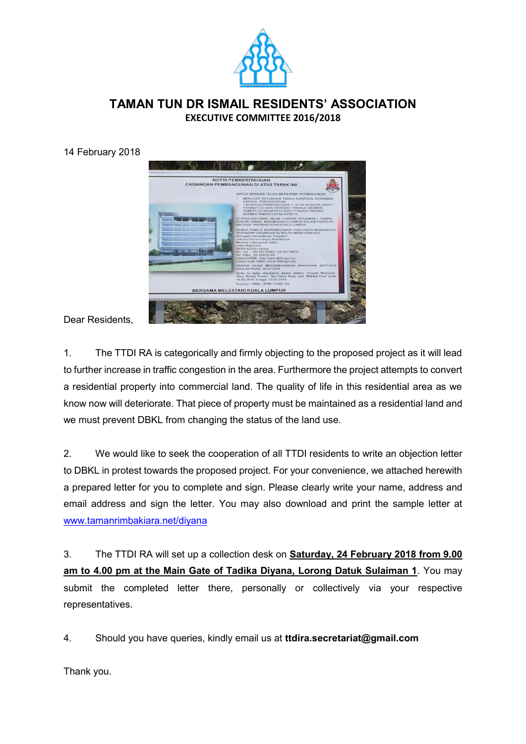

## **TAMAN TUN DR ISMAIL RESIDENTS' ASSOCIATION EXECUTIVE COMMITTEE 2016/2018**

14 February 2018



Dear Residents,

1. The TTDI RA is categorically and firmly objecting to the proposed project as it will lead to further increase in traffic congestion in the area. Furthermore the project attempts to convert a residential property into commercial land. The quality of life in this residential area as we know now will deteriorate. That piece of property must be maintained as a residential land and we must prevent DBKL from changing the status of the land use.

2. We would like to seek the cooperation of all TTDI residents to write an objection letter to DBKL in protest towards the proposed project. For your convenience, we attached herewith a prepared letter for you to complete and sign. Please clearly write your name, address and email address and sign the letter. You may also download and print the sample letter at [www.tamanrimbakiara.net/diyana](http://www.tamanrimbakiara.net/diyana)

3. The TTDI RA will set up a collection desk on **Saturday, 24 February 2018 from 9.00 am to 4.00 pm at the Main Gate of Tadika Diyana, Lorong Datuk Sulaiman 1**. You may submit the completed letter there, personally or collectively via your respective representatives.

4. Should you have queries, kindly email us at **ttdira.secretariat@gmail.com**

Thank you.